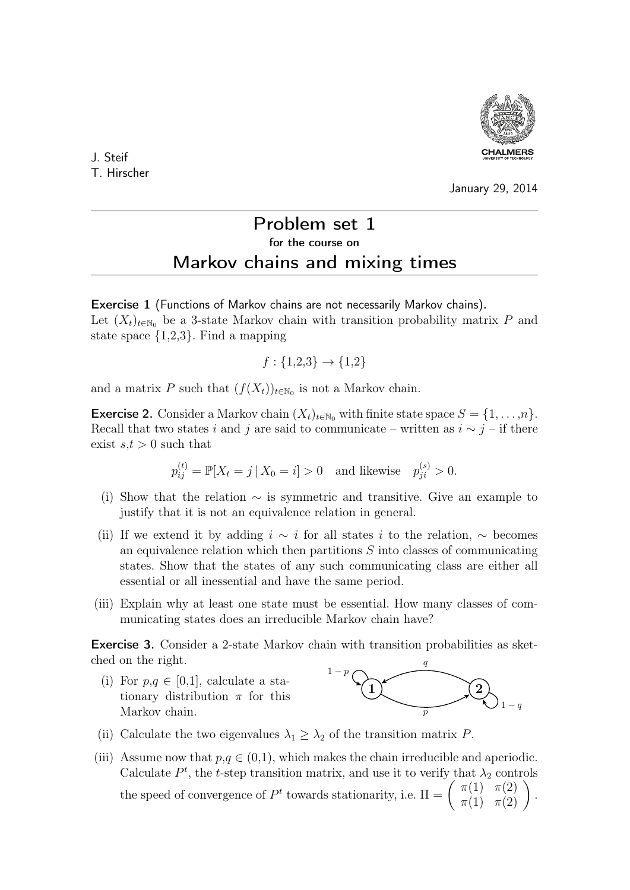

J. Steif T. Hirscher

January 29, 2014

## Problem set 1 for the course on Markov chains and mixing times

Exercise 1 (Functions of Markov chains are not necessarily Markov chains). Let  $(X_t)_{t\in\mathbb{N}_0}$  be a 3-state Markov chain with transition probability matrix P and state space  $\{1,2,3\}$ . Find a mapping

$$
f: \{1,2,3\} \to \{1,2\}
$$

and a matrix P such that  $(f(X_t))_{t \in \mathbb{N}_0}$  is not a Markov chain.

**Exercise 2.** Consider a Markov chain  $(X_t)_{t \in \mathbb{N}_0}$  with finite state space  $S = \{1, \ldots, n\}$ . Recall that two states i and j are said to communicate – written as  $i \sim j$  – if there exist  $s,t > 0$  such that

$$
p_{ij}^{(t)} = \mathbb{P}[X_t = j | X_0 = i] > 0
$$
 and likewise  $p_{ji}^{(s)} > 0$ .

- (i) Show that the relation  $\sim$  is symmetric and transitive. Give an example to justify that it is not an equivalence relation in general.
- (ii) If we extend it by adding  $i \sim i$  for all states i to the relation,  $\sim$  becomes an equivalence relation which then partitions S into classes of communicating states. Show that the states of any such communicating class are either all essential or all inessential and have the same period.
- (iii) Explain why at least one state must be essential. How many classes of communicating states does an irreducible Markov chain have?

Exercise 3. Consider a 2-state Markov chain with transition probabilities as sketched on the right.

(i) For  $p,q \in [0,1]$ , calculate a stationary distribution  $\pi$  for this Markov chain.



- (ii) Calculate the two eigenvalues  $\lambda_1 \geq \lambda_2$  of the transition matrix P.
- (iii) Assume now that  $p,q \in (0,1)$ , which makes the chain irreducible and aperiodic. Calculate  $P<sup>t</sup>$ , the t-step transition matrix, and use it to verify that  $\lambda_2$  controls the speed of convergence of  $P^t$  towards stationarity, i.e.  $\Pi = \begin{pmatrix} \pi(1) & \pi(2) \\ \pi(1) & \pi(2) \end{pmatrix}$ .